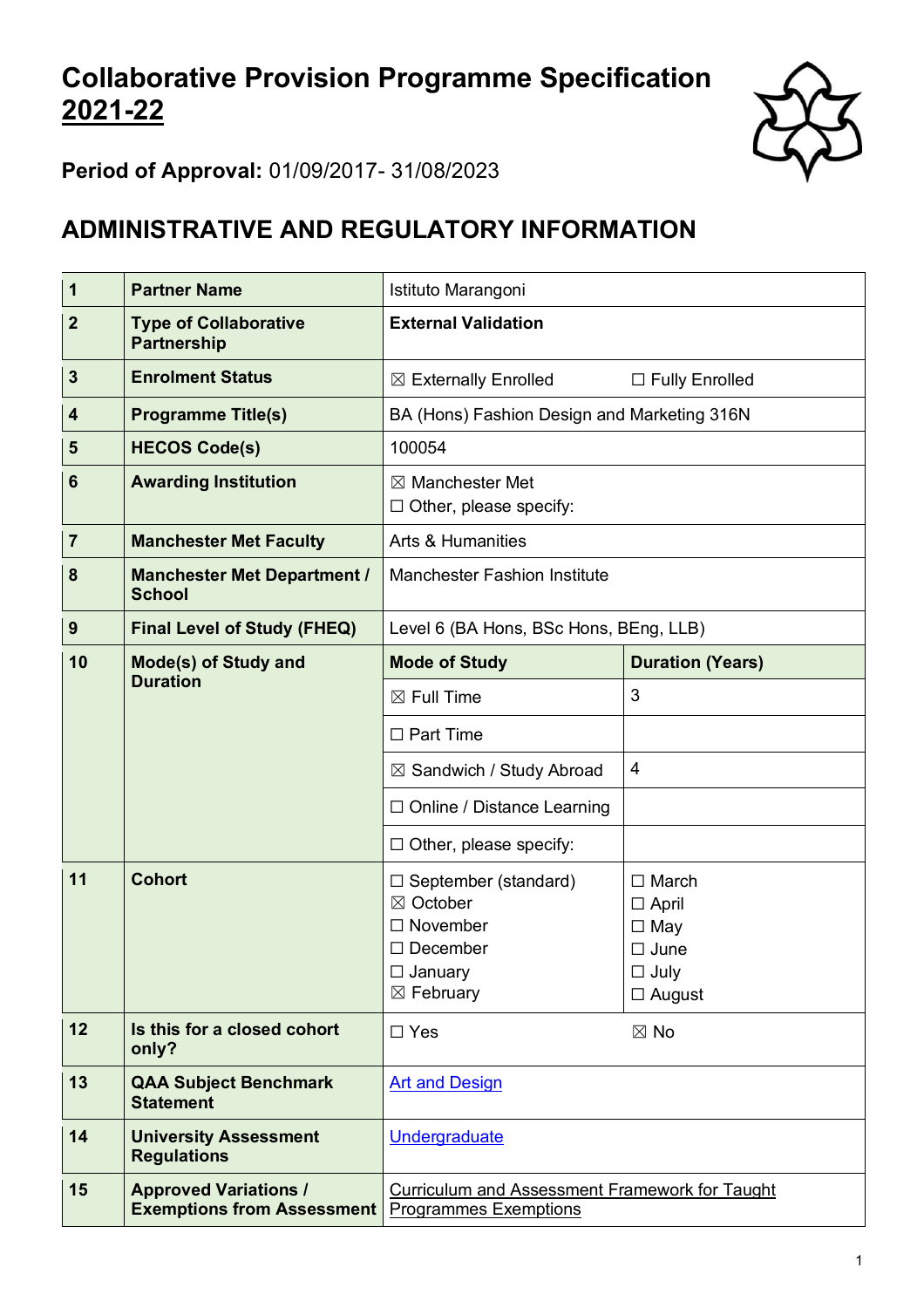# **Collaborative Provision Programme Specification 2021-22**



**Period of Approval:** 01/09/2017- 31/08/2023

## **ADMINISTRATIVE AND REGULATORY INFORMATION**

| $\mathbf 1$     | <b>Partner Name</b>                                               | Istituto Marangoni                                                                                                  |                                                                                              |  |  |  |
|-----------------|-------------------------------------------------------------------|---------------------------------------------------------------------------------------------------------------------|----------------------------------------------------------------------------------------------|--|--|--|
| $\mathbf{2}$    | <b>Type of Collaborative</b><br><b>Partnership</b>                | <b>External Validation</b>                                                                                          |                                                                                              |  |  |  |
| $\mathbf{3}$    | <b>Enrolment Status</b>                                           | $\boxtimes$ Externally Enrolled                                                                                     | □ Fully Enrolled                                                                             |  |  |  |
| 4               | <b>Programme Title(s)</b>                                         | BA (Hons) Fashion Design and Marketing 316N                                                                         |                                                                                              |  |  |  |
| 5               | <b>HECOS Code(s)</b>                                              | 100054                                                                                                              |                                                                                              |  |  |  |
| $6\phantom{1}6$ | <b>Awarding Institution</b>                                       | $\boxtimes$ Manchester Met<br>Other, please specify:<br>$\Box$                                                      |                                                                                              |  |  |  |
| $\overline{7}$  | <b>Manchester Met Faculty</b>                                     | <b>Arts &amp; Humanities</b>                                                                                        |                                                                                              |  |  |  |
| 8               | <b>Manchester Met Department /</b><br><b>School</b>               | <b>Manchester Fashion Institute</b>                                                                                 |                                                                                              |  |  |  |
| 9               | <b>Final Level of Study (FHEQ)</b>                                | Level 6 (BA Hons, BSc Hons, BEng, LLB)                                                                              |                                                                                              |  |  |  |
| 10              | Mode(s) of Study and<br><b>Duration</b>                           | <b>Mode of Study</b>                                                                                                | <b>Duration (Years)</b>                                                                      |  |  |  |
|                 |                                                                   | $\boxtimes$ Full Time                                                                                               | 3                                                                                            |  |  |  |
|                 |                                                                   | $\Box$ Part Time                                                                                                    |                                                                                              |  |  |  |
|                 |                                                                   | ⊠ Sandwich / Study Abroad                                                                                           | $\overline{4}$                                                                               |  |  |  |
|                 |                                                                   | $\Box$ Online / Distance Learning                                                                                   |                                                                                              |  |  |  |
|                 |                                                                   | $\Box$ Other, please specify:                                                                                       |                                                                                              |  |  |  |
| 11              | <b>Cohort</b>                                                     | □ September (standard)<br>⊠ October<br>$\Box$ November<br>$\Box$ December<br>$\Box$ January<br>$\boxtimes$ February | $\Box$ March<br>$\Box$ April<br>$\Box$ May<br>$\Box$ June<br>$\square$ July<br>$\Box$ August |  |  |  |
| 12              | Is this for a closed cohort<br>only?                              | $\Box$ Yes                                                                                                          | $\boxtimes$ No                                                                               |  |  |  |
| 13              | <b>QAA Subject Benchmark</b><br><b>Statement</b>                  | <b>Art and Design</b>                                                                                               |                                                                                              |  |  |  |
| 14              | <b>University Assessment</b><br><b>Regulations</b>                | Undergraduate                                                                                                       |                                                                                              |  |  |  |
| 15              | <b>Approved Variations /</b><br><b>Exemptions from Assessment</b> | <b>Curriculum and Assessment Framework for Taught</b><br><b>Programmes Exemptions</b>                               |                                                                                              |  |  |  |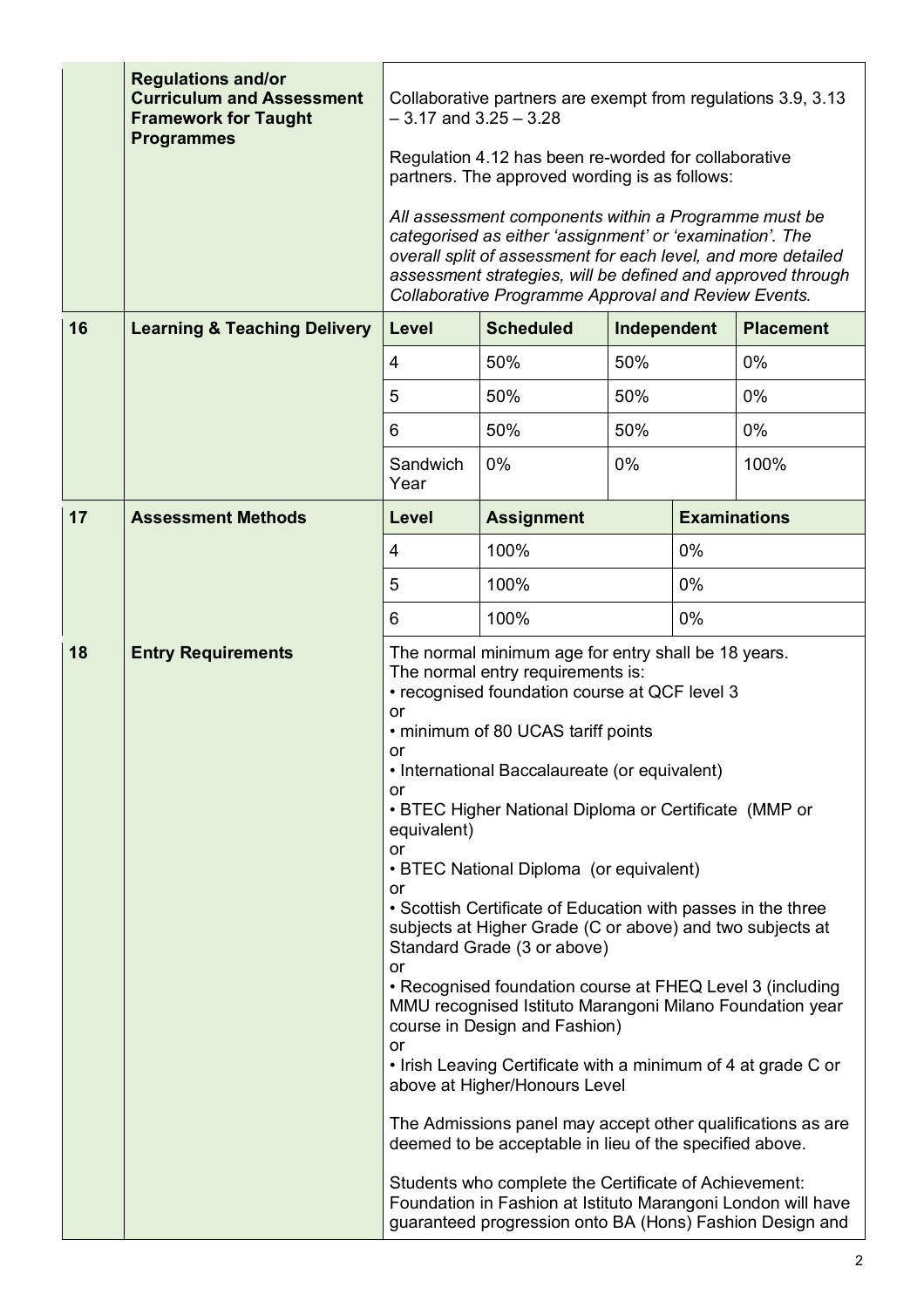|    | <b>Regulations and/or</b><br><b>Curriculum and Assessment</b><br><b>Framework for Taught</b><br><b>Programmes</b> | Collaborative partners are exempt from regulations 3.9, 3.13<br>$-3.17$ and $3.25 - 3.28$<br>Regulation 4.12 has been re-worded for collaborative<br>partners. The approved wording is as follows:                                                                                                      |                                                                                                                                                                                                                                                                                                                                                                                                                                                                                                                                                                                                                                                                                                                                                                                                                                                                                                                                                 |     |       |                     |  |
|----|-------------------------------------------------------------------------------------------------------------------|---------------------------------------------------------------------------------------------------------------------------------------------------------------------------------------------------------------------------------------------------------------------------------------------------------|-------------------------------------------------------------------------------------------------------------------------------------------------------------------------------------------------------------------------------------------------------------------------------------------------------------------------------------------------------------------------------------------------------------------------------------------------------------------------------------------------------------------------------------------------------------------------------------------------------------------------------------------------------------------------------------------------------------------------------------------------------------------------------------------------------------------------------------------------------------------------------------------------------------------------------------------------|-----|-------|---------------------|--|
|    |                                                                                                                   | All assessment components within a Programme must be<br>categorised as either 'assignment' or 'examination'. The<br>overall split of assessment for each level, and more detailed<br>assessment strategies, will be defined and approved through<br>Collaborative Programme Approval and Review Events. |                                                                                                                                                                                                                                                                                                                                                                                                                                                                                                                                                                                                                                                                                                                                                                                                                                                                                                                                                 |     |       |                     |  |
| 16 | <b>Learning &amp; Teaching Delivery</b>                                                                           | <b>Scheduled</b><br>Independent<br><b>Placement</b><br>Level                                                                                                                                                                                                                                            |                                                                                                                                                                                                                                                                                                                                                                                                                                                                                                                                                                                                                                                                                                                                                                                                                                                                                                                                                 |     |       |                     |  |
|    |                                                                                                                   | $\overline{4}$                                                                                                                                                                                                                                                                                          | 50%<br>$0\%$<br>50%                                                                                                                                                                                                                                                                                                                                                                                                                                                                                                                                                                                                                                                                                                                                                                                                                                                                                                                             |     |       |                     |  |
|    |                                                                                                                   | 5                                                                                                                                                                                                                                                                                                       | 50%                                                                                                                                                                                                                                                                                                                                                                                                                                                                                                                                                                                                                                                                                                                                                                                                                                                                                                                                             | 50% |       | $0\%$               |  |
|    |                                                                                                                   | 6                                                                                                                                                                                                                                                                                                       | 50%                                                                                                                                                                                                                                                                                                                                                                                                                                                                                                                                                                                                                                                                                                                                                                                                                                                                                                                                             | 50% |       | $0\%$               |  |
|    |                                                                                                                   | Sandwich<br>Year                                                                                                                                                                                                                                                                                        | 0%                                                                                                                                                                                                                                                                                                                                                                                                                                                                                                                                                                                                                                                                                                                                                                                                                                                                                                                                              | 0%  |       | 100%                |  |
| 17 | <b>Assessment Methods</b>                                                                                         | Level                                                                                                                                                                                                                                                                                                   | <b>Assignment</b>                                                                                                                                                                                                                                                                                                                                                                                                                                                                                                                                                                                                                                                                                                                                                                                                                                                                                                                               |     |       | <b>Examinations</b> |  |
|    |                                                                                                                   | 4                                                                                                                                                                                                                                                                                                       | 100%                                                                                                                                                                                                                                                                                                                                                                                                                                                                                                                                                                                                                                                                                                                                                                                                                                                                                                                                            |     | 0%    |                     |  |
|    |                                                                                                                   | 5                                                                                                                                                                                                                                                                                                       | 100%                                                                                                                                                                                                                                                                                                                                                                                                                                                                                                                                                                                                                                                                                                                                                                                                                                                                                                                                            |     | 0%    |                     |  |
|    |                                                                                                                   | 6                                                                                                                                                                                                                                                                                                       | 100%                                                                                                                                                                                                                                                                                                                                                                                                                                                                                                                                                                                                                                                                                                                                                                                                                                                                                                                                            |     | $0\%$ |                     |  |
| 18 | <b>Entry Requirements</b>                                                                                         | or<br>or<br>or<br>equivalent)<br>or<br>or<br>or<br>or                                                                                                                                                                                                                                                   | The normal minimum age for entry shall be 18 years.<br>The normal entry requirements is:<br>• recognised foundation course at QCF level 3<br>• minimum of 80 UCAS tariff points<br>• International Baccalaureate (or equivalent)<br>• BTEC Higher National Diploma or Certificate (MMP or<br>• BTEC National Diploma (or equivalent)<br>• Scottish Certificate of Education with passes in the three<br>subjects at Higher Grade (C or above) and two subjects at<br>Standard Grade (3 or above)<br>• Recognised foundation course at FHEQ Level 3 (including<br>MMU recognised Istituto Marangoni Milano Foundation year<br>course in Design and Fashion)<br>• Irish Leaving Certificate with a minimum of 4 at grade C or<br>above at Higher/Honours Level<br>The Admissions panel may accept other qualifications as are<br>deemed to be acceptable in lieu of the specified above.<br>Students who complete the Certificate of Achievement: |     |       |                     |  |
|    |                                                                                                                   |                                                                                                                                                                                                                                                                                                         | Foundation in Fashion at Istituto Marangoni London will have<br>guaranteed progression onto BA (Hons) Fashion Design and                                                                                                                                                                                                                                                                                                                                                                                                                                                                                                                                                                                                                                                                                                                                                                                                                        |     |       |                     |  |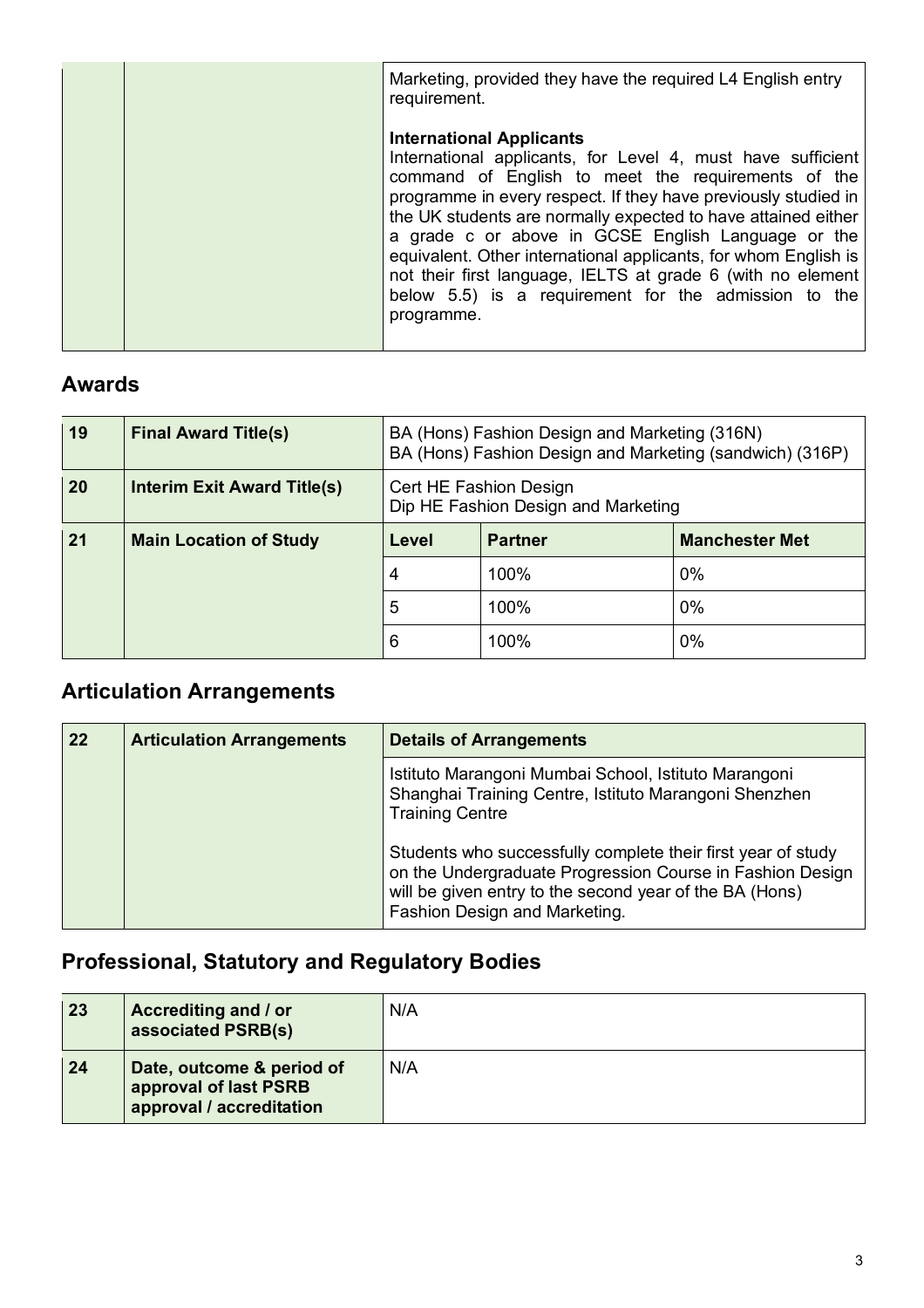| Marketing, provided they have the required L4 English entry<br>requirement.                                                                                                                                                                                                                                                                                                                                                                                                                                                                           |
|-------------------------------------------------------------------------------------------------------------------------------------------------------------------------------------------------------------------------------------------------------------------------------------------------------------------------------------------------------------------------------------------------------------------------------------------------------------------------------------------------------------------------------------------------------|
| <b>International Applicants</b><br>International applicants, for Level 4, must have sufficient<br>command of English to meet the requirements of the<br>programme in every respect. If they have previously studied in<br>the UK students are normally expected to have attained either<br>a grade c or above in GCSE English Language or the<br>equivalent. Other international applicants, for whom English is<br>not their first language, IELTS at grade 6 (with no element<br>below 5.5) is a requirement for the admission to the<br>programme. |

## **Awards**

| 19 | <b>Final Award Title(s)</b>        |                                                               | BA (Hons) Fashion Design and Marketing (316N)<br>BA (Hons) Fashion Design and Marketing (sandwich) (316P) |       |  |  |  |
|----|------------------------------------|---------------------------------------------------------------|-----------------------------------------------------------------------------------------------------------|-------|--|--|--|
| 20 | <b>Interim Exit Award Title(s)</b> | Cert HE Fashion Design<br>Dip HE Fashion Design and Marketing |                                                                                                           |       |  |  |  |
| 21 | <b>Main Location of Study</b>      | <b>Manchester Met</b><br>Level<br><b>Partner</b>              |                                                                                                           |       |  |  |  |
|    |                                    | 4                                                             | 100%                                                                                                      | $0\%$ |  |  |  |
|    |                                    | 5                                                             | 100%                                                                                                      | $0\%$ |  |  |  |
|    |                                    | 6                                                             | 100%                                                                                                      | 0%    |  |  |  |

## **Articulation Arrangements**

| 22 | <b>Articulation Arrangements</b> | <b>Details of Arrangements</b>                                                                                                                                                                                        |  |  |
|----|----------------------------------|-----------------------------------------------------------------------------------------------------------------------------------------------------------------------------------------------------------------------|--|--|
|    |                                  | Istituto Marangoni Mumbai School, Istituto Marangoni<br>Shanghai Training Centre, Istituto Marangoni Shenzhen<br><b>Training Centre</b>                                                                               |  |  |
|    |                                  | Students who successfully complete their first year of study<br>on the Undergraduate Progression Course in Fashion Design<br>will be given entry to the second year of the BA (Hons)<br>Fashion Design and Marketing. |  |  |

## **Professional, Statutory and Regulatory Bodies**

| 23 | Accrediting and / or<br>associated PSRB(s)                                     | N/A |
|----|--------------------------------------------------------------------------------|-----|
| 24 | Date, outcome & period of<br>approval of last PSRB<br>approval / accreditation | N/A |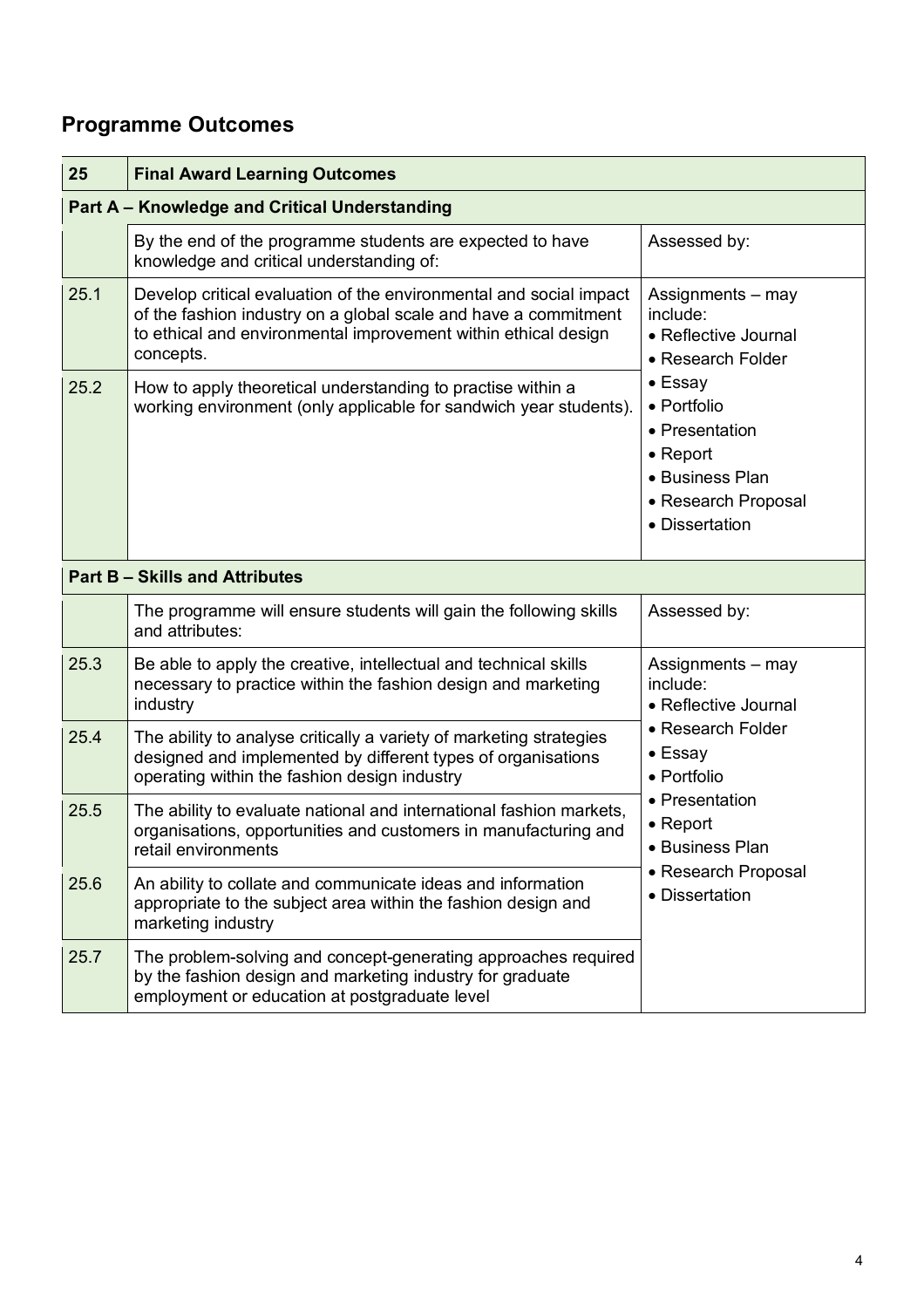## **Programme Outcomes**

| 25           | <b>Final Award Learning Outcomes</b>                                                                                                                                                                                                                                                                                                                     |                                                                                                                        |  |  |  |  |  |  |
|--------------|----------------------------------------------------------------------------------------------------------------------------------------------------------------------------------------------------------------------------------------------------------------------------------------------------------------------------------------------------------|------------------------------------------------------------------------------------------------------------------------|--|--|--|--|--|--|
|              | <b>Part A - Knowledge and Critical Understanding</b>                                                                                                                                                                                                                                                                                                     |                                                                                                                        |  |  |  |  |  |  |
|              | By the end of the programme students are expected to have<br>knowledge and critical understanding of:                                                                                                                                                                                                                                                    | Assessed by:                                                                                                           |  |  |  |  |  |  |
| 25.1<br>25.2 | Develop critical evaluation of the environmental and social impact<br>of the fashion industry on a global scale and have a commitment<br>to ethical and environmental improvement within ethical design<br>concepts.<br>How to apply theoretical understanding to practise within a<br>working environment (only applicable for sandwich year students). | Assignments – may<br>include:<br>• Reflective Journal<br>• Research Folder<br>• Essay<br>• Portfolio<br>• Presentation |  |  |  |  |  |  |
|              |                                                                                                                                                                                                                                                                                                                                                          | $\bullet$ Report<br>• Business Plan<br>• Research Proposal<br>• Dissertation                                           |  |  |  |  |  |  |
|              | <b>Part B - Skills and Attributes</b>                                                                                                                                                                                                                                                                                                                    |                                                                                                                        |  |  |  |  |  |  |
|              | The programme will ensure students will gain the following skills<br>and attributes:                                                                                                                                                                                                                                                                     | Assessed by:                                                                                                           |  |  |  |  |  |  |
| 25.3         | Be able to apply the creative, intellectual and technical skills<br>necessary to practice within the fashion design and marketing<br>industry                                                                                                                                                                                                            | Assignments - may<br>include:<br>• Reflective Journal                                                                  |  |  |  |  |  |  |
| 25.4         | The ability to analyse critically a variety of marketing strategies<br>designed and implemented by different types of organisations<br>operating within the fashion design industry                                                                                                                                                                      | • Research Folder<br>• Essay<br>• Portfolio                                                                            |  |  |  |  |  |  |
| 25.5         | The ability to evaluate national and international fashion markets,<br>organisations, opportunities and customers in manufacturing and<br>retail environments                                                                                                                                                                                            | • Presentation<br>$\bullet$ Report<br>• Business Plan                                                                  |  |  |  |  |  |  |
| 25.6         | An ability to collate and communicate ideas and information<br>appropriate to the subject area within the fashion design and<br>marketing industry                                                                                                                                                                                                       | • Research Proposal<br>• Dissertation                                                                                  |  |  |  |  |  |  |
| 25.7         | The problem-solving and concept-generating approaches required<br>by the fashion design and marketing industry for graduate<br>employment or education at postgraduate level                                                                                                                                                                             |                                                                                                                        |  |  |  |  |  |  |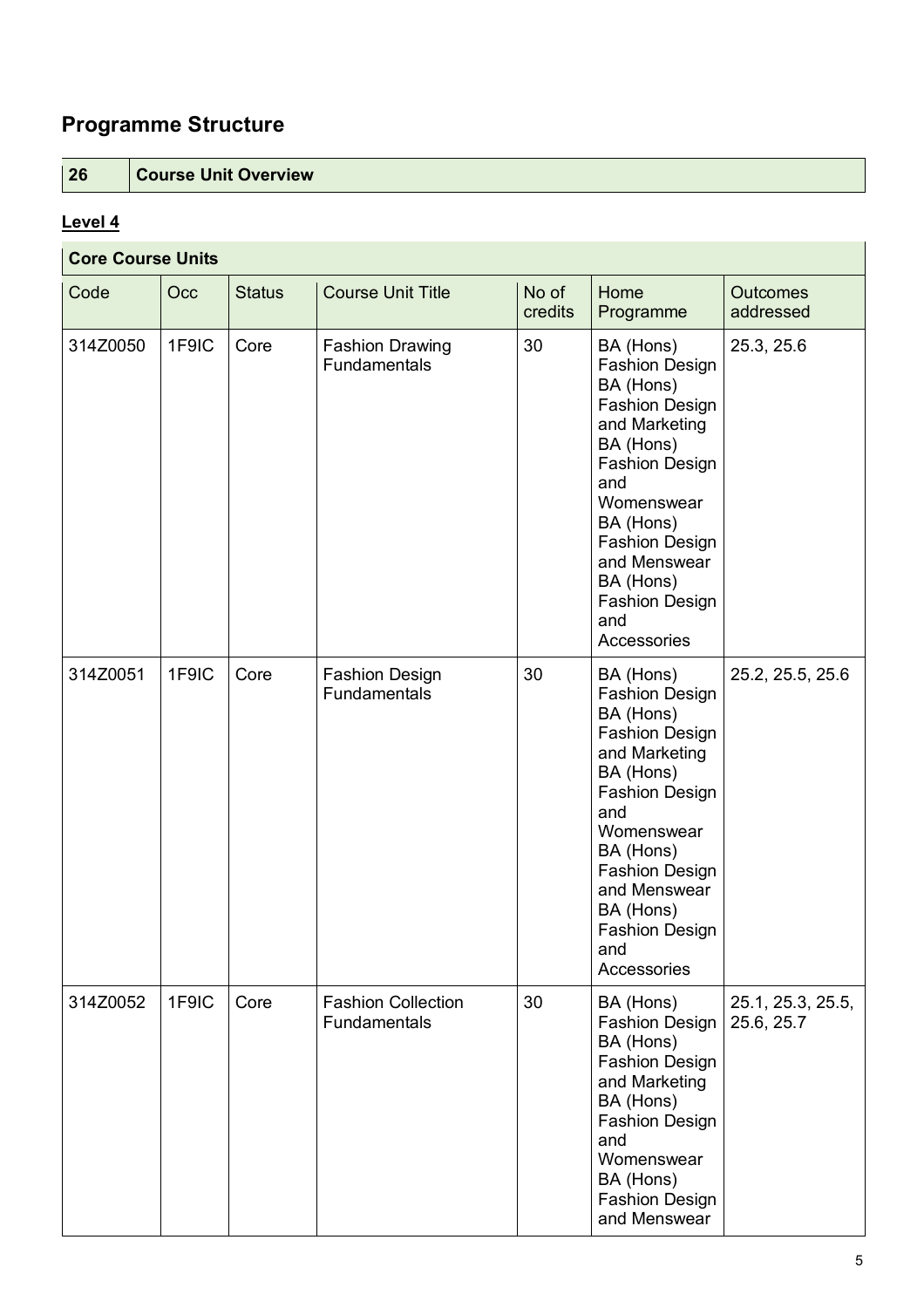## **Programme Structure**

**26 Course Unit Overview**

### **Level 4**

| <b>Core Course Units</b> |       |               |                                           |                  |                                                                                                                                                                                                                                                                        |                                 |  |
|--------------------------|-------|---------------|-------------------------------------------|------------------|------------------------------------------------------------------------------------------------------------------------------------------------------------------------------------------------------------------------------------------------------------------------|---------------------------------|--|
| Code                     | Occ   | <b>Status</b> | <b>Course Unit Title</b>                  | No of<br>credits | Home<br>Programme                                                                                                                                                                                                                                                      | <b>Outcomes</b><br>addressed    |  |
| 314Z0050                 | 1F9IC | Core          | <b>Fashion Drawing</b><br>Fundamentals    | 30               | BA (Hons)<br><b>Fashion Design</b><br>BA (Hons)<br><b>Fashion Design</b><br>and Marketing<br>BA (Hons)<br><b>Fashion Design</b><br>and<br>Womenswear<br>BA (Hons)<br><b>Fashion Design</b><br>and Menswear<br>BA (Hons)<br><b>Fashion Design</b><br>and<br>Accessories | 25.3, 25.6                      |  |
| 314Z0051                 | 1F9IC | Core          | <b>Fashion Design</b><br>Fundamentals     | 30               | BA (Hons)<br><b>Fashion Design</b><br>BA (Hons)<br><b>Fashion Design</b><br>and Marketing<br>BA (Hons)<br><b>Fashion Design</b><br>and<br>Womenswear<br>BA (Hons)<br><b>Fashion Design</b><br>and Menswear<br>BA (Hons)<br><b>Fashion Design</b><br>and<br>Accessories | 25.2, 25.5, 25.6                |  |
| 314Z0052                 | 1F9IC | Core          | <b>Fashion Collection</b><br>Fundamentals | 30               | BA (Hons)<br><b>Fashion Design</b><br>BA (Hons)<br><b>Fashion Design</b><br>and Marketing<br>BA (Hons)<br><b>Fashion Design</b><br>and<br>Womenswear<br>BA (Hons)<br><b>Fashion Design</b><br>and Menswear                                                             | 25.1, 25.3, 25.5,<br>25.6, 25.7 |  |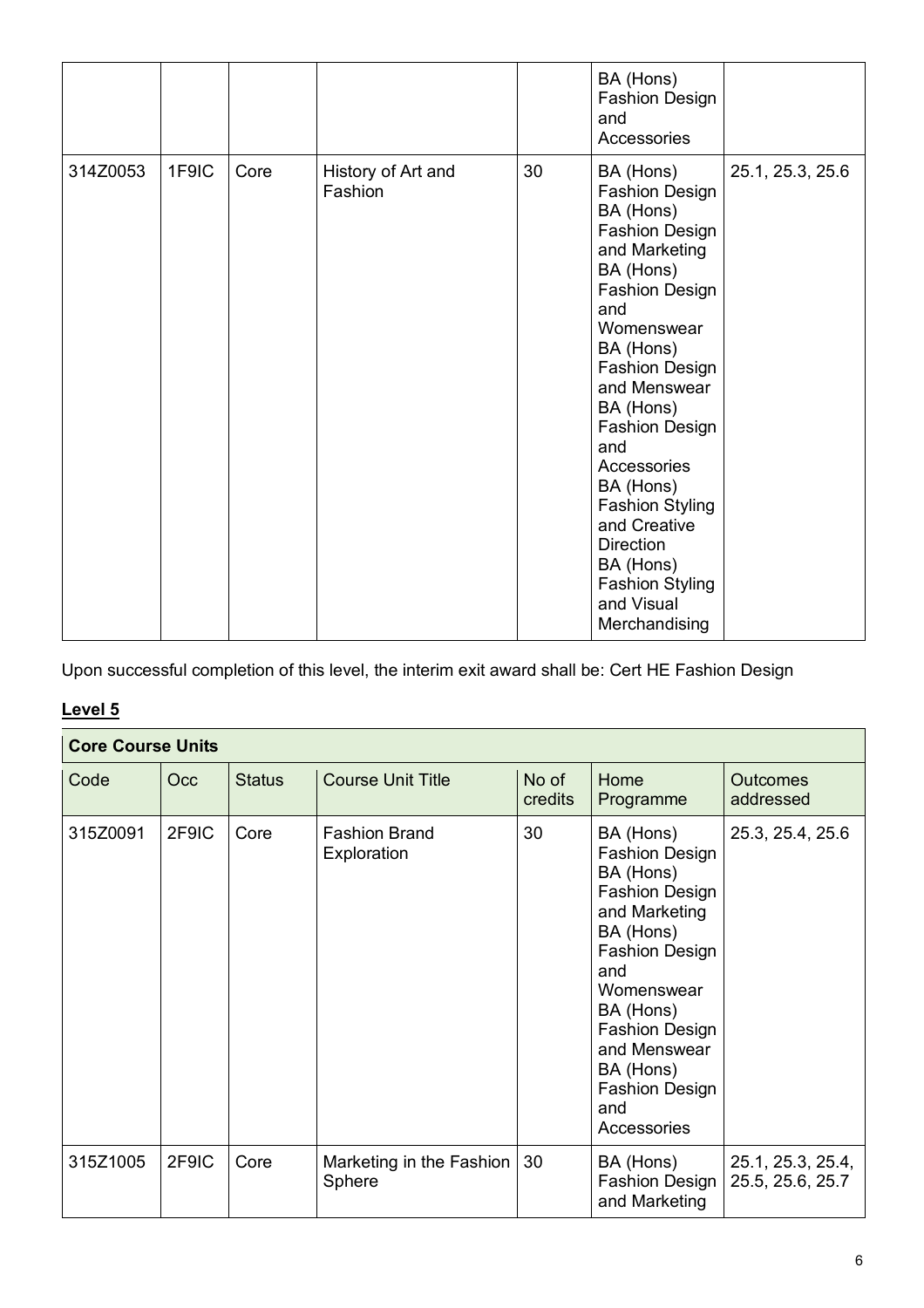|          |       |      |                               |    | BA (Hons)<br><b>Fashion Design</b><br>and<br>Accessories                                                                                                                                                                                                                                                                                                                                                                |                  |
|----------|-------|------|-------------------------------|----|-------------------------------------------------------------------------------------------------------------------------------------------------------------------------------------------------------------------------------------------------------------------------------------------------------------------------------------------------------------------------------------------------------------------------|------------------|
| 314Z0053 | 1F9IC | Core | History of Art and<br>Fashion | 30 | BA (Hons)<br><b>Fashion Design</b><br>BA (Hons)<br><b>Fashion Design</b><br>and Marketing<br>BA (Hons)<br><b>Fashion Design</b><br>and<br>Womenswear<br>BA (Hons)<br><b>Fashion Design</b><br>and Menswear<br>BA (Hons)<br><b>Fashion Design</b><br>and<br>Accessories<br>BA (Hons)<br><b>Fashion Styling</b><br>and Creative<br><b>Direction</b><br>BA (Hons)<br><b>Fashion Styling</b><br>and Visual<br>Merchandising | 25.1, 25.3, 25.6 |

Upon successful completion of this level, the interim exit award shall be: Cert HE Fashion Design

### **Level 5**

| <b>Core Course Units</b> |       |               |                                     |                  |                                                                                                                                                                                                                                                                        |                                       |  |
|--------------------------|-------|---------------|-------------------------------------|------------------|------------------------------------------------------------------------------------------------------------------------------------------------------------------------------------------------------------------------------------------------------------------------|---------------------------------------|--|
| Code                     | Occ   | <b>Status</b> | <b>Course Unit Title</b>            | No of<br>credits | Home<br>Programme                                                                                                                                                                                                                                                      | Outcomes<br>addressed                 |  |
| 315Z0091                 | 2F9IC | Core          | <b>Fashion Brand</b><br>Exploration | 30               | BA (Hons)<br><b>Fashion Design</b><br>BA (Hons)<br><b>Fashion Design</b><br>and Marketing<br>BA (Hons)<br><b>Fashion Design</b><br>and<br>Womenswear<br>BA (Hons)<br><b>Fashion Design</b><br>and Menswear<br>BA (Hons)<br><b>Fashion Design</b><br>and<br>Accessories | 25.3, 25.4, 25.6                      |  |
| 315Z1005                 | 2F9IC | Core          | Marketing in the Fashion<br>Sphere  | 30               | BA (Hons)<br><b>Fashion Design</b><br>and Marketing                                                                                                                                                                                                                    | 25.1, 25.3, 25.4,<br>25.5, 25.6, 25.7 |  |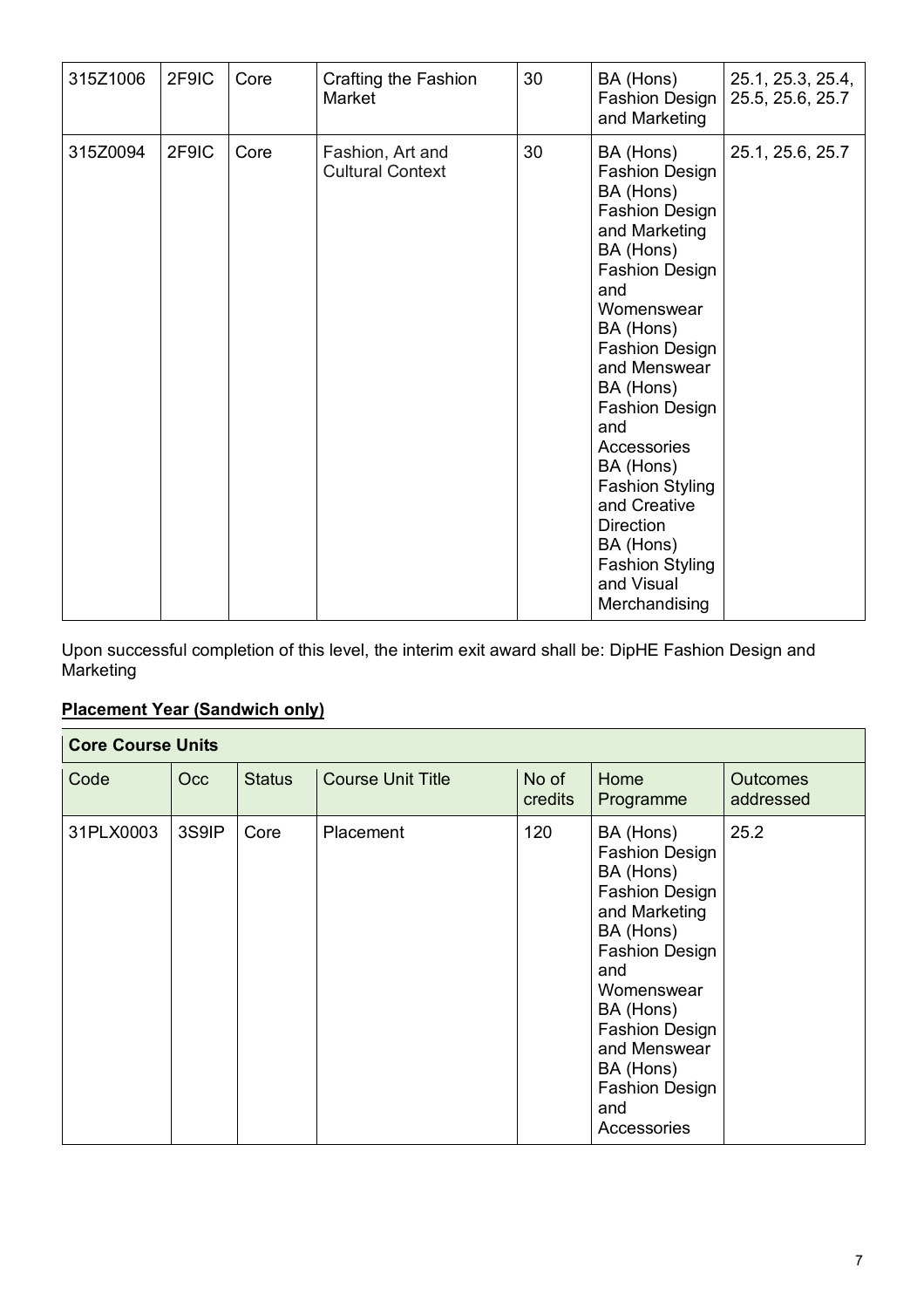| 315Z1006 | 2F9IC | Core | Crafting the Fashion<br>Market              | 30 | BA (Hons)<br>Fashion Design<br>and Marketing                                                                                                                                                                                                                                                                                                                                                              | 25.1, 25.3, 25.4,<br>25.5, 25.6, 25.7 |
|----------|-------|------|---------------------------------------------|----|-----------------------------------------------------------------------------------------------------------------------------------------------------------------------------------------------------------------------------------------------------------------------------------------------------------------------------------------------------------------------------------------------------------|---------------------------------------|
| 315Z0094 | 2F9IC | Core | Fashion, Art and<br><b>Cultural Context</b> | 30 | BA (Hons)<br><b>Fashion Design</b><br>BA (Hons)<br><b>Fashion Design</b><br>and Marketing<br>BA (Hons)<br><b>Fashion Design</b><br>and<br>Womenswear<br>BA (Hons)<br>Fashion Design<br>and Menswear<br>BA (Hons)<br>Fashion Design<br>and<br>Accessories<br>BA (Hons)<br><b>Fashion Styling</b><br>and Creative<br><b>Direction</b><br>BA (Hons)<br><b>Fashion Styling</b><br>and Visual<br>Merchandising | 25.1, 25.6, 25.7                      |

Upon successful completion of this level, the interim exit award shall be: DipHE Fashion Design and Marketing

### **Placement Year (Sandwich only)**

| <b>Core Course Units</b> |       |               |                          |                  |                                                                                                                                                                                                                                                                        |                              |  |
|--------------------------|-------|---------------|--------------------------|------------------|------------------------------------------------------------------------------------------------------------------------------------------------------------------------------------------------------------------------------------------------------------------------|------------------------------|--|
| Code                     | Occ   | <b>Status</b> | <b>Course Unit Title</b> | No of<br>credits | Home<br>Programme                                                                                                                                                                                                                                                      | <b>Outcomes</b><br>addressed |  |
| 31PLX0003                | 3S9IP | Core          | Placement                | 120              | BA (Hons)<br><b>Fashion Design</b><br>BA (Hons)<br><b>Fashion Design</b><br>and Marketing<br>BA (Hons)<br><b>Fashion Design</b><br>and<br>Womenswear<br>BA (Hons)<br><b>Fashion Design</b><br>and Menswear<br>BA (Hons)<br><b>Fashion Design</b><br>and<br>Accessories | 25.2                         |  |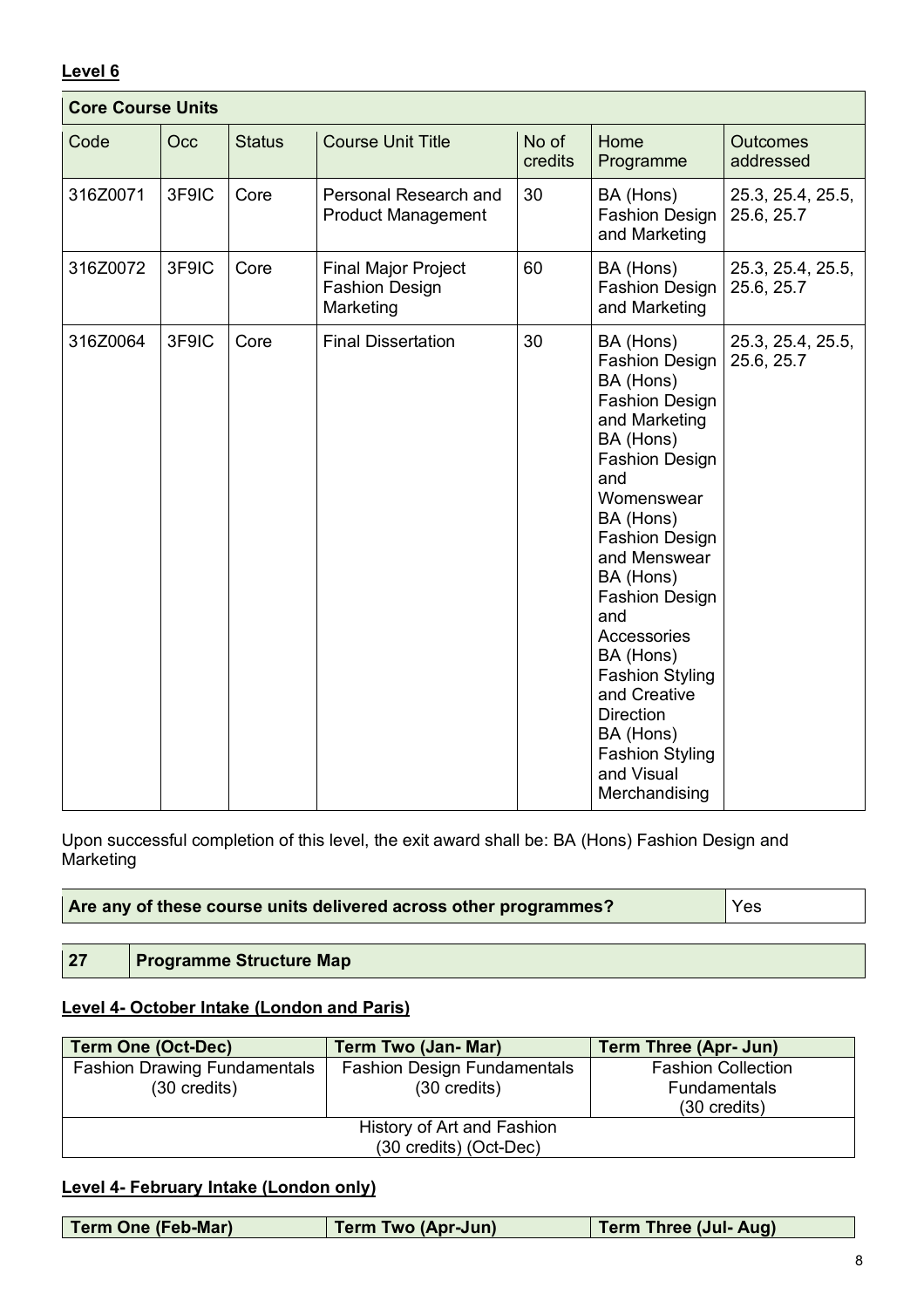#### **Level 6**

| <b>Core Course Units</b> |       |               |                                                                  |                  |                                                                                                                                                                                                                                                                                                                                                                                                                         |                                 |
|--------------------------|-------|---------------|------------------------------------------------------------------|------------------|-------------------------------------------------------------------------------------------------------------------------------------------------------------------------------------------------------------------------------------------------------------------------------------------------------------------------------------------------------------------------------------------------------------------------|---------------------------------|
| Code                     | Occ   | <b>Status</b> | <b>Course Unit Title</b>                                         | No of<br>credits | Home<br>Programme                                                                                                                                                                                                                                                                                                                                                                                                       | <b>Outcomes</b><br>addressed    |
| 316Z0071                 | 3F9IC | Core          | Personal Research and<br><b>Product Management</b>               | 30               | BA (Hons)<br><b>Fashion Design</b><br>and Marketing                                                                                                                                                                                                                                                                                                                                                                     | 25.3, 25.4, 25.5,<br>25.6, 25.7 |
| 316Z0072                 | 3F9IC | Core          | <b>Final Major Project</b><br><b>Fashion Design</b><br>Marketing | 60               | BA (Hons)<br><b>Fashion Design</b><br>and Marketing                                                                                                                                                                                                                                                                                                                                                                     | 25.3, 25.4, 25.5,<br>25.6, 25.7 |
| 316Z0064                 | 3F9IC | Core          | <b>Final Dissertation</b>                                        | 30               | BA (Hons)<br><b>Fashion Design</b><br>BA (Hons)<br><b>Fashion Design</b><br>and Marketing<br>BA (Hons)<br><b>Fashion Design</b><br>and<br>Womenswear<br>BA (Hons)<br><b>Fashion Design</b><br>and Menswear<br>BA (Hons)<br><b>Fashion Design</b><br>and<br>Accessories<br>BA (Hons)<br><b>Fashion Styling</b><br>and Creative<br><b>Direction</b><br>BA (Hons)<br><b>Fashion Styling</b><br>and Visual<br>Merchandising | 25.3, 25.4, 25.5,<br>25.6, 25.7 |

Upon successful completion of this level, the exit award shall be: BA (Hons) Fashion Design and **Marketing** 

| Are any of these course units delivered across other programmes? | Yes |
|------------------------------------------------------------------|-----|
|------------------------------------------------------------------|-----|

**27 Programme Structure Map**

#### **Level 4- October Intake (London and Paris)**

| <b>Term One (Oct-Dec)</b>           | <b>Term Two (Jan- Mar)</b>         | <b>Term Three (Apr- Jun)</b> |  |
|-------------------------------------|------------------------------------|------------------------------|--|
| <b>Fashion Drawing Fundamentals</b> | <b>Fashion Design Fundamentals</b> | <b>Fashion Collection</b>    |  |
| $(30 \text{ credits})$              | $(30 \text{ credits})$             | <b>Fundamentals</b>          |  |
|                                     |                                    | $(30 \text{ credits})$       |  |
| History of Art and Fashion          |                                    |                              |  |
| (30 credits) (Oct-Dec)              |                                    |                              |  |

#### **Level 4- February Intake (London only)**

| <b>Term One (Feb-Mar)</b> | <b>Term Two (Apr-Jun)</b> | <b>Term Three (Jul- Aug)</b> |
|---------------------------|---------------------------|------------------------------|
|                           |                           |                              |